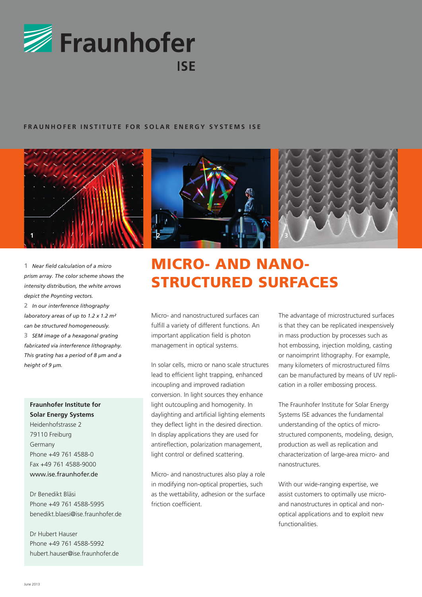

### **FRAUNHOFER INSTITUTE FOR SOLAR ENERGY SYSTEMS ISE**



**1** *Near field calculation of a micro prism array. The color scheme shows the intensity distribution, the white arrows depict the Poynting vectors.* **2** *In our interference lithography laboratory areas of up to 1.2 x 1.2 m² can be structured homogeneously.* **3** *SEM image of a hexagonal grating fabricated via interference lithography. This grating has a period of 8 µm and a height of 9 µm.*

## **Fraunhofer Institute for Solar Energy Systems**

Heidenhofstrasse 2 79110 Freiburg Germany Phone +49 761 4588-0 Fax +49 761 4588-9000 www.ise.fraunhofer.de

Dr Benedikt Bläsi Phone +49 761 4588-5995 benedikt.blaesi@ise.fraunhofer.de

Dr Hubert Hauser Phone +49 761 4588-5992 hubert.hauser@ise.fraunhofer.de



# Micro- and Nanostructured Surfaces

Micro- and nanostructured surfaces can fulfill a variety of different functions. An important application field is photon management in optical systems.

In solar cells, micro or nano scale structures lead to efficient light trapping, enhanced incoupling and improved radiation conversion. In light sources they enhance light outcoupling and homogenity. In daylighting and artificial lighting elements they deflect light in the desired direction. In display applications they are used for antireflection, polarization management, light control or defined scattering.

Micro- and nanostructures also play a role in modifying non-optical properties, such as the wettability, adhesion or the surface friction coefficient.

The advantage of microstructured surfaces is that they can be replicated inexpensively in mass production by processes such as hot embossing, injection molding, casting or nanoimprint lithography. For example, many kilometers of microstructured films can be manufactured by means of UV replication in a roller embossing process.

The Fraunhofer Institute for Solar Energy Systems ISE advances the fundamental understanding of the optics of microstructured components, modeling, design, production as well as replication and characterization of large-area micro- and nanostructures.

With our wide-ranging expertise, we assist customers to optimally use microand nanostructures in optical and nonoptical applications and to exploit new functionalities.